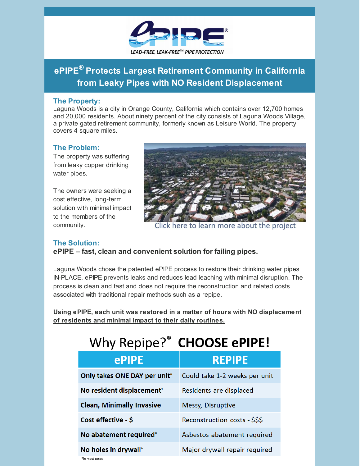

# **ePIPE ® Protects Largest Retirement Community in California from Leaky Pipes with NO Resident Displacement**

#### **The Property:**

Laguna Woods is a city in Orange County, California which contains over 12,700 homes and 20,000 residents. About ninety percent of the city consists of Laguna Woods Village, a private gated retirement community, formerly known as Leisure World. The property covers 4 square miles.

### **The Problem:**

The property was suffering from leaky copper drinking water pipes.

The owners were seeking a cost effective, long-term solution with minimal impact to the members of the community.



Click here to learn more about the project

#### **The Solution:**

**ePIPE – fast, clean and convenient solution for failing pipes.**

Laguna Woods chose the patented ePIPE process to restore their drinking water pipes IN-PLACE. ePIPE prevents leaks and reduces lead leaching with minimal disruption. The process is clean and fast and does not require the reconstruction and related costs associated with traditional repair methods such as a repipe.

**Using ePIPE, each unit was restored in a matter of hours with NO displacement of residents and minimal impact to their daily routines.**

| Why Repipe? <sup>®</sup> CHOOSE ePIPE! |                               |
|----------------------------------------|-------------------------------|
| ePIPE                                  | <b>REPIPE</b>                 |
| Only takes ONE DAY per unit*           | Could take 1-2 weeks per unit |
| No resident displacement*              | Residents are displaced       |
| <b>Clean, Minimally Invasive</b>       | Messy, Disruptive             |
| Cost effective - \$                    | Reconstruction costs - \$\$\$ |
| No abatement required*                 | Asbestos abatement required   |
| No holes in drywall*<br>*in most cases | Major drywall repair required |